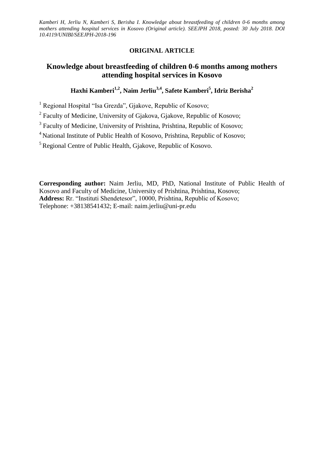## **ORIGINAL ARTICLE**

# **Knowledge about breastfeeding of children 0-6 months among mothers attending hospital services in Kosovo**

# **Haxhi Kamberi1,2, Naim Jerliu3,4, Safete Kamberi<sup>5</sup> , Idriz Berisha<sup>2</sup>**

<sup>1</sup> Regional Hospital "Isa Grezda", Gjakove, Republic of Kosovo;

 $2$  Faculty of Medicine, University of Gjakova, Gjakove, Republic of Kosovo;

<sup>3</sup> Faculty of Medicine, University of Prishtina, Prishtina, Republic of Kosovo;

<sup>4</sup> National Institute of Public Health of Kosovo, Prishtina, Republic of Kosovo;

<sup>5</sup> Regional Centre of Public Health, Gjakove, Republic of Kosovo.

**Corresponding author:** Naim Jerliu, MD, PhD, National Institute of Public Health of Kosovo and Faculty of Medicine, University of Prishtina, Prishtina, Kosovo; **Address:** Rr. "Instituti Shendetesor", 10000, Prishtina, Republic of Kosovo; Telephone: +38138541432; E-mail: [naim.jerliu@uni-pr.edu](mailto:naim.jerliu@uni-pr.edu)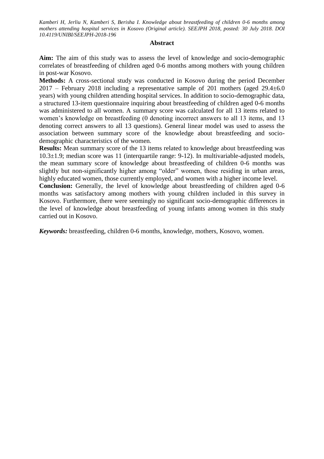#### **Abstract**

**Aim:** The aim of this study was to assess the level of knowledge and socio-demographic correlates of breastfeeding of children aged 0-6 months among mothers with young children in post-war Kosovo.

**Methods:** A cross-sectional study was conducted in Kosovo during the period December  $2017$  – February 2018 including a representative sample of 201 mothers (aged 29.4 $\pm$ 6.0) years) with young children attending hospital services. In addition to socio-demographic data, a structured 13-item questionnaire inquiring about breastfeeding of children aged 0-6 months was administered to all women. A summary score was calculated for all 13 items related to women's knowledge on breastfeeding (0 denoting incorrect answers to all 13 items, and 13 denoting correct answers to all 13 questions). General linear model was used to assess the association between summary score of the knowledge about breastfeeding and sociodemographic characteristics of the women.

**Results:** Mean summary score of the 13 items related to knowledge about breastfeeding was 10.3±1.9; median score was 11 (interquartile range: 9-12). In multivariable-adjusted models, the mean summary score of knowledge about breastfeeding of children 0-6 months was slightly but non-significantly higher among "older" women, those residing in urban areas, highly educated women, those currently employed, and women with a higher income level.

**Conclusion:** Generally, the level of knowledge about breastfeeding of children aged 0-6 months was satisfactory among mothers with young children included in this survey in Kosovo. Furthermore, there were seemingly no significant socio-demographic differences in the level of knowledge about breastfeeding of young infants among women in this study carried out in Kosovo.

*Keywords:* breastfeeding, children 0-6 months, knowledge, mothers, Kosovo, women.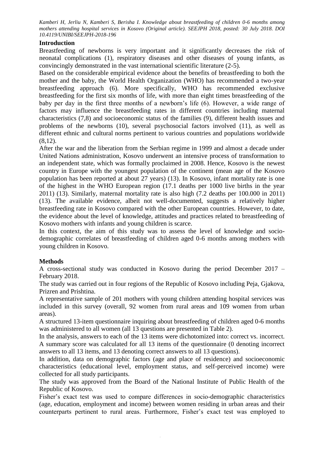#### **Introduction**

Breastfeeding of newborns is very important and it significantly decreases the risk of neonatal complications (1), respiratory diseases and other diseases of young infants, as convincingly demonstrated in the vast international scientific literature (2-5).

Based on the considerable empirical evidence about the benefits of breastfeeding to both the mother and the baby, the World Health Organization (WHO) has recommended a two-year breastfeeding approach (6). More specifically, WHO has recommended exclusive breastfeeding for the first six months of life, with more than eight times breastfeeding of the baby per day in the first three months of a newborn's life (6). However, a wide range of factors may influence the breastfeeding rates in different countries including maternal characteristics (7,8) and socioeconomic status of the families (9), different health issues and problems of the newborns (10), several psychosocial factors involved (11), as well as different ethnic and cultural norms pertinent to various countries and populations worldwide (8,12).

After the war and the liberation from the Serbian regime in 1999 and almost a decade under United Nations administration, Kosovo underwent an intensive process of transformation to an independent state, which was formally proclaimed in 2008. Hence, Kosovo is the newest country in Europe with the youngest population of the continent (mean age of the Kosovo population has been reported at about 27 years) (13). In Kosovo, infant mortality rate is one of the highest in the WHO European region (17.1 deaths per 1000 live births in the year 2011) (13). Similarly, maternal mortality rate is also high (7.2 deaths per 100.000 in 2011) (13). The available evidence, albeit not well-documented, suggests a relatively higher breastfeeding rate in Kosovo compared with the other European countries. However, to date, the evidence about the level of knowledge, attitudes and practices related to breastfeeding of Kosovo mothers with infants and young children is scarce.

In this context, the aim of this study was to assess the level of knowledge and sociodemographic correlates of breastfeeding of children aged 0-6 months among mothers with young children in Kosovo.

### **Methods**

A cross-sectional study was conducted in Kosovo during the period December 2017 – February 2018.

The study was carried out in four regions of the Republic of Kosovo including Peja, Gjakova, Prizren and Prishtina.

A representative sample of 201 mothers with young children attending hospital services was included in this survey (overall, 92 women from rural areas and 109 women from urban areas).

A structured 13-item questionnaire inquiring about breastfeeding of children aged 0-6 months was administered to all women (all 13 questions are presented in Table 2).

In the analysis, answers to each of the 13 items were dichotomized into: correct vs. incorrect. A summary score was calculated for all 13 items of the questionnaire (0 denoting incorrect answers to all 13 items, and 13 denoting correct answers to all 13 questions).

In addition, data on demographic factors (age and place of residence) and socioeconomic characteristics (educational level, employment status, and self-perceived income) were collected for all study participants.

The study was approved from the Board of the National Institute of Public Health of the Republic of Kosovo.

Fisher's exact test was used to compare differences in socio-demographic characteristics (age, education, employment and income) between women residing in urban areas and their counterparts pertinent to rural areas. Furthermore, Fisher's exact test was employed to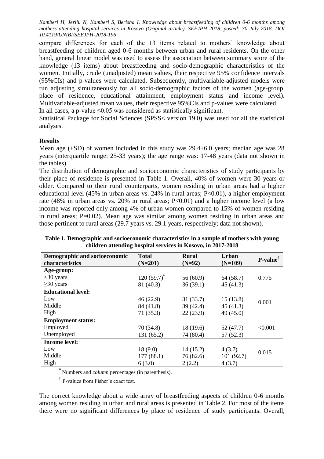compare differences for each of the 13 items related to mothers' knowledge about breastfeeding of children aged 0-6 months between urban and rural residents. On the other hand, general linear model was used to assess the association between summary score of the knowledge (13 items) about breastfeeding and socio-demographic characteristics of the women. Initially, crude (unadjusted) mean values, their respective 95% confidence intervals (95%CIs) and p-values were calculated. Subsequently, multivariable-adjusted models were run adjusting simultaneously for all socio-demographic factors of the women (age-group, place of residence, educational attainment, employment status and income level). Multivariable-adjusted mean values, their respective 95%CIs and p-values were calculated. In all cases, a p-value ≤0.05 was considered as statistically significant.

Statistical Package for Social Sciences (SPSS< version 19.0) was used for all the statistical analyses.

#### **Results**

Mean age  $(\pm SD)$  of women included in this study was 29.4 $\pm$ 6.0 years; median age was 28 years (interquartile range: 25-33 years); the age range was: 17-48 years (data not shown in the tables).

The distribution of demographic and socioeconomic characteristics of study participants by their place of residence is presented in Table 1. Overall, 40% of women were 30 years or older. Compared to their rural counterparts, women residing in urban areas had a higher educational level (45% in urban areas vs. 24% in rural areas; P<0.01), a higher employment rate (48% in urban areas vs. 20% in rural areas; P<0.01) and a higher income level (a low income was reported only among 4% of urban women compared to 15% of women residing in rural areas; P=0.02). Mean age was similar among women residing in urban areas and those pertinent to rural areas (29.7 years vs. 29.1 years, respectively; data not shown).

| Demographic and socioeconomic | <b>Total</b>  | <b>Rural</b> | <b>Urban</b> |                     |  |
|-------------------------------|---------------|--------------|--------------|---------------------|--|
| characteristics               | $(N=201)$     | $(N=92)$     | $(N=109)$    | $P-value^{\dagger}$ |  |
| Age-group:                    |               |              |              |                     |  |
| $<$ 30 years                  | $120(59.7)^*$ | 56(60.9)     | 64 (58.7)    | 0.775               |  |
| $\geq$ 30 years               | 81 (40.3)     | 36(39.1)     | 45(41.3)     |                     |  |
| <b>Educational level:</b>     |               |              |              |                     |  |
| Low                           | 46(22.9)      | 31(33.7)     | 15(13.8)     |                     |  |
| Middle                        | 84 (41.8)     | 39 (42.4)    | 45(41.3)     | 0.001               |  |
| High                          | 71(35.3)      | 22(23.9)     | 49 (45.0)    |                     |  |
| <b>Employment status:</b>     |               |              |              |                     |  |
| Employed                      | 70(34.8)      | 18 (19.6)    | 52(47.7)     | < 0.001             |  |
| Unemployed                    | 131 (65.2)    | 74 (80.4)    | 57(52.3)     |                     |  |
| <b>Income level:</b>          |               |              |              |                     |  |
| Low                           | 18(9.0)       | 14(15.2)     | 4(3.7)       | 0.015               |  |
| Middle                        | 177(88.1)     | 76 (82.6)    | 101(92.7)    |                     |  |
| High                          | 6(3.0)        | 2(2.2)       | 4(3.7)       |                     |  |

**Table 1. Demographic and socioeconomic characteristics in a sample of mothers with young children attending hospital services in Kosovo, in 2017-2018**

**\*** Numbers and *column* percentages (in parenthesis).

**†** P-values from Fisher's exact test.

The correct knowledge about a wide array of breastfeeding aspects of children 0-6 months among women residing in urban and rural areas is presented in Table 2. For most of the items there were no significant differences by place of residence of study participants. Overall,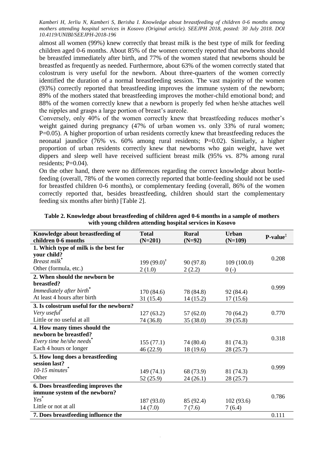almost all women (99%) knew correctly that breast milk is the best type of milk for feeding children aged 0-6 months. About 85% of the women correctly reported that newborns should be breastfed immediately after birth, and 77% of the women stated that newborns should be breastfed as frequently as needed. Furthermore, about 63% of the women correctly stated that colostrum is very useful for the newborn. About three-quarters of the women correctly identified the duration of a normal breastfeeding session. The vast majority of the women (93%) correctly reported that breastfeeding improves the immune system of the newborn; 89% of the mothers stated that breastfeeding improves the mother-child emotional bond; and 88% of the women correctly knew that a newborn is properly fed when he/she attaches well the nipples and grasps a large portion of breast's aureole.

Conversely, only 40% of the women correctly knew that breastfeeding reduces mother's weight gained during pregnancy (47% of urban women vs. only 33% of rural women; P=0.05). A higher proportion of urban residents correctly knew that breastfeeding reduces the neonatal jaundice (76% vs. 60% among rural residents; P=0.02). Similarly, a higher proportion of urban residents correctly knew that newborns who gain weight, have wet dippers and sleep well have received sufficient breast milk (95% vs. 87% among rural residents;  $P=0.04$ ).

On the other hand, there were no differences regarding the correct knowledge about bottlefeeding (overall, 78% of the women correctly reported that bottle-feeding should not be used for breastfed children 0-6 months), or complementary feeding (overall, 86% of the women correctly reported that, besides breastfeeding, children should start the complementary feeding six months after birth) [Table 2].

| Knowledge about breastfeeding of        | <b>Total</b>          | <b>Rural</b> | <b>Urban</b> | $P-value$ <sup>†</sup> |
|-----------------------------------------|-----------------------|--------------|--------------|------------------------|
| children 0-6 months                     | $(N=201)$             | $(N=92)$     | $(N=109)$    |                        |
| 1. Which type of milk is the best for   |                       |              |              |                        |
| your child?                             |                       |              |              | 0.208                  |
| Breast milk*                            | $199(99.0)^{\dagger}$ | 90 (97.8)    | 109(100.0)   |                        |
| Other (formula, etc.)                   | 2(1.0)                | 2(2.2)       | $0(-)$       |                        |
| 2. When should the newborn be           |                       |              |              |                        |
| breastfed?                              |                       |              |              |                        |
| Immediately after birth*                | 170 (84.6)            | 78 (84.8)    | 92 (84.4)    | 0.999                  |
| At least 4 hours after birth            | 31(15.4)              | 14(15.2)     | 17(15.6)     |                        |
| 3. Is colostrum useful for the newborn? |                       |              |              |                        |
| Very useful <sup>*</sup>                | 127(63.2)             | 57(62.0)     | 70 (64.2)    | 0.770                  |
| Little or no useful at all              | 74 (36.8)             | 35 (38.0)    | 39 (35.8)    |                        |
| 4. How many times should the            |                       |              |              |                        |
| newborn be breastfed?                   |                       |              |              | 0.318                  |
| Every time he/she needs                 | 155(77.1)             | 74 (80.4)    | 81 (74.3)    |                        |
| Each 4 hours or longer                  | 46 (22.9)             | 18 (19.6)    | 28(25.7)     |                        |
| 5. How long does a breastfeeding        |                       |              |              |                        |
| session last?                           |                       |              |              |                        |
| $10-15$ minutes                         | 149 (74.1)            | 68 (73.9)    | 81 (74.3)    | 0.999                  |
| Other                                   | 52 (25.9)             | 24(26.1)     | 28(25.7)     |                        |
| 6. Does breastfeeding improves the      |                       |              |              |                        |
| immune system of the newborn?           |                       |              |              |                        |
| Yes <sup>*</sup>                        | 187 (93.0)            | 85 (92.4)    | 102(93.6)    | 0.786                  |
| Little or not at all                    | 14(7.0)               | 7(7.6)       | 7(6.4)       |                        |
| 7. Does breastfeeding influence the     |                       |              |              | 0.111                  |

**Table 2. Knowledge about breastfeeding of children aged 0-6 months in a sample of mothers with young children attending hospital services in Kosovo**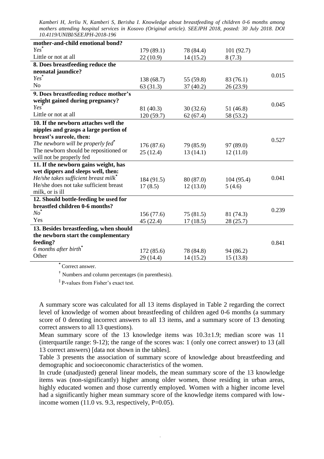| mother-and-child emotional bond?                 |            |           |           |       |
|--------------------------------------------------|------------|-----------|-----------|-------|
| $Yes^{\dagger}$                                  | 179(89.1)  | 78 (84.4) | 101(92.7) |       |
| Little or not at all                             | 22 (10.9)  | 14(15.2)  | 8(7.3)    |       |
| 8. Does breastfeeding reduce the                 |            |           |           |       |
| neonatal jaundice?                               |            |           |           | 0.015 |
| $Yes^*$                                          | 138 (68.7) | 55 (59.8) | 83 (76.1) |       |
| N <sub>o</sub>                                   | 63 (31.3)  | 37(40.2)  | 26(23.9)  |       |
| 9. Does breastfeeding reduce mother's            |            |           |           |       |
| weight gained during pregnancy?                  |            |           |           |       |
| Yes                                              | 81 (40.3)  | 30(32.6)  | 51 (46.8) | 0.045 |
| Little or not at all                             | 120(59.7)  | 62(67.4)  | 58 (53.2) |       |
| 10. If the newborn attaches well the             |            |           |           |       |
| nipples and grasps a large portion of            |            |           |           |       |
| breast's aureole, then:                          |            |           |           | 0.527 |
| The newborn will be properly fed <sup>*</sup>    | 176 (87.6) | 79 (85.9) | 97 (89.0) |       |
| The newborn should be repositioned or            | 25(12.4)   | 13(14.1)  | 12(11.0)  |       |
| will not be properly fed                         |            |           |           |       |
| 11. If the newborn gains weight, has             |            |           |           |       |
| wet dippers and sleeps well, then:               |            |           |           |       |
| He/she takes sufficient breast milk <sup>*</sup> | 184 (91.5) | 80 (87.0) | 104(95.4) | 0.041 |
| He/she does not take sufficient breast           | 17(8.5)    | 12(13.0)  | 5(4.6)    |       |
| milk, or is ill                                  |            |           |           |       |
| 12. Should bottle-feeding be used for            |            |           |           |       |
| breastfed children 0-6 months?                   |            |           |           | 0.239 |
| $No^*$                                           | 156 (77.6) | 75(81.5)  | 81 (74.3) |       |
| Yes                                              | 45 (22.4)  | 17(18.5)  | 28(25.7)  |       |
| 13. Besides breastfeeding, when should           |            |           |           |       |
| the newborn start the complementary              |            |           |           |       |
| feeding?                                         |            |           |           | 0.841 |
| 6 months after birth <sup>*</sup>                | 172 (85.6) | 78 (84.8) | 94 (86.2) |       |
| Other                                            | 29 (14.4)  | 14 (15.2) | 15(13.8)  |       |

**\*** Correct answer.

**†** Numbers and column percentages (in parenthesis).

**‡** P-values from Fisher's exact test.

A summary score was calculated for all 13 items displayed in Table 2 regarding the correct level of knowledge of women about breastfeeding of children aged 0-6 months (a summary score of 0 denoting incorrect answers to all 13 items, and a summary score of 13 denoting correct answers to all 13 questions).

Mean summary score of the 13 knowledge items was 10.3±1.9; median score was 11 (interquartile range: 9-12); the range of the scores was: 1 (only one correct answer) to 13 (all 13 correct answers) [data not shown in the tables].

Table 3 presents the association of summary score of knowledge about breastfeeding and demographic and socioeconomic characteristics of the women.

In crude (unadjusted) general linear models, the mean summary score of the 13 knowledge items was (non-significantly) higher among older women, those residing in urban areas, highly educated women and those currently employed. Women with a higher income level had a significantly higher mean summary score of the knowledge items compared with lowincome women  $(11.0 \text{ vs. } 9.3, \text{ respectively, } P=0.05)$ .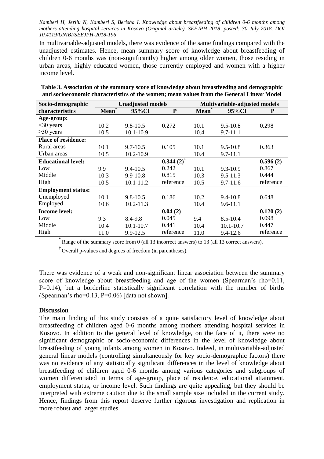In multivariable-adjusted models, there was evidence of the same findings compared with the unadjusted estimates. Hence, mean summary score of knowledge about breastfeeding of children 0-6 months was (non-significantly) higher among older women, those residing in urban areas, highly educated women, those currently employed and women with a higher income level.

| Socio-demographic          | <b>Unadjusted models</b> |               |                      | Multivariable-adjusted models |               |           |  |
|----------------------------|--------------------------|---------------|----------------------|-------------------------------|---------------|-----------|--|
| characteristics            | Mean <sup>*</sup>        | 95%CI         | P                    | Mean                          | 95%CI         | P         |  |
| Age-group:                 |                          |               |                      |                               |               |           |  |
| $<$ 30 years               | 10.2                     | $9.8 - 10.5$  | 0.272                | 10.1                          | $9.5 - 10.8$  | 0.298     |  |
| $\geq$ 30 years            | 10.5                     | 10.1-10.9     |                      | 10.4                          | $9.7 - 11.1$  |           |  |
| <b>Place of residence:</b> |                          |               |                      |                               |               |           |  |
| Rural areas                | 10.1                     | $9.7 - 10.5$  | 0.105                | 10.1                          | $9.5 - 10.8$  | 0.363     |  |
| Urban areas                | 10.5                     | 10.2-10.9     |                      | 10.4                          | $9.7 - 11.1$  |           |  |
| <b>Educational level:</b>  |                          |               | $0.344(2)^{\dagger}$ |                               |               | 0.596(2)  |  |
| Low                        | 9.9                      | $9.4 - 10.5$  | 0.242                | 10.1                          | $9.3 - 10.9$  | 0.867     |  |
| Middle                     | 10.3                     | 9.9-10.8      | 0.815                | 10.3                          | $9.5 - 11.3$  | 0.444     |  |
| High                       | 10.5                     | 10.1-11.2     | reference            | 10.5                          | $9.7 - 11.6$  | reference |  |
| <b>Employment status:</b>  |                          |               |                      |                               |               |           |  |
| Unemployed                 | 10.1                     | $9.8 - 10.5$  | 0.186                | 10.2                          | $9.4 - 10.8$  | 0.648     |  |
| Employed                   | 10.6                     | 10.2-11.3     |                      | 10.4                          | $9.6 - 11.1$  |           |  |
| <b>Income level:</b>       |                          |               | 0.04(2)              |                               |               | 0.120(2)  |  |
| Low                        | 9.3                      | 8.4-9.8       | 0.045                | 9.4                           | 8.5-10.4      | 0.098     |  |
| Middle                     | 10.4                     | $10.1 - 10.7$ | 0.441                | 10.4                          | $10.1 - 10.7$ | 0.447     |  |
| High                       | 11.0                     | 9.9-12.5      | reference            | 11.0                          | $9.4 - 12.6$  | reference |  |

**Table 3. Association of the summary score of knowledge about breastfeeding and demographic and socioeconomic characteristics of the women; mean values from the General Linear Model** 

**\*** Range of the summary score from 0 (all 13 incorrect answers) to 13 (all 13 correct answers).

**†** Overall p-values and degrees of freedom (in parentheses).

There was evidence of a weak and non-significant linear association between the summary score of knowledge about breastfeeding and age of the women (Spearman's rho=0.11, P=0.14), but a borderline statistically significant correlation with the number of births (Spearman's rho=0.13, P=0.06) [data not shown].

#### **Discussion**

The main finding of this study consists of a quite satisfactory level of knowledge about breastfeeding of children aged 0-6 months among mothers attending hospital services in Kosovo. In addition to the general level of knowledge, on the face of it, there were no significant demographic or socio-economic differences in the level of knowledge about breastfeeding of young infants among women in Kosovo. Indeed, in multivariable-adjusted general linear models (controlling simultaneously for key socio-demographic factors) there was no evidence of any statistically significant differences in the level of knowledge about breastfeeding of children aged 0-6 months among various categories and subgroups of women differentiated in terms of age-group, place of residence, educational attainment, employment status, or income level. Such findings are quite appealing, but they should be interpreted with extreme caution due to the small sample size included in the current study. Hence, findings from this report deserve further rigorous investigation and replication in more robust and larger studies.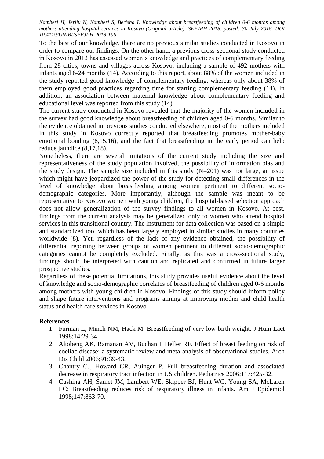To the best of our knowledge, there are no previous similar studies conducted in Kosovo in order to compare our findings. On the other hand, a previous cross-sectional study conducted in Kosovo in 2013 has assessed women's knowledge and practices of complementary feeding from 28 cities, towns and villages across Kosovo, including a sample of 492 mothers with infants aged 6-24 months (14). According to this report, about 88% of the women included in the study reported good knowledge of complementary feeding, whereas only about 38% of them employed good practices regarding time for starting complementary feeding (14). In addition, an association between maternal knowledge about complementary feeding and educational level was reported from this study (14).

The current study conducted in Kosovo revealed that the majority of the women included in the survey had good knowledge about breastfeeding of children aged 0-6 months. Similar to the evidence obtained in previous studies conducted elsewhere, most of the mothers included in this study in Kosovo correctly reported that breastfeeding promotes mother-baby emotional bonding (8,15,16), and the fact that breastfeeding in the early period can help reduce jaundice (8,17,18).

Nonetheless, there are several imitations of the current study including the size and representativeness of the study population involved, the possibility of information bias and the study design. The sample size included in this study  $(N=201)$  was not large, an issue which might have jeopardized the power of the study for detecting small differences in the level of knowledge about breastfeeding among women pertinent to different sociodemographic categories. More importantly, although the sample was meant to be representative to Kosovo women with young children, the hospital-based selection approach does not allow generalization of the survey findings to all women in Kosovo. At best, findings from the current analysis may be generalized only to women who attend hospital services in this transitional country. The instrument for data collection was based on a simple and standardized tool which has been largely employed in similar studies in many countries worldwide (8). Yet, regardless of the lack of any evidence obtained, the possibility of differential reporting between groups of women pertinent to different socio-demographic categories cannot be completely excluded. Finally, as this was a cross-sectional study, findings should be interpreted with caution and replicated and confirmed in future larger prospective studies.

Regardless of these potential limitations, this study provides useful evidence about the level of knowledge and socio-demographic correlates of breastfeeding of children aged 0-6 months among mothers with young children in Kosovo. Findings of this study should inform policy and shape future interventions and programs aiming at improving mother and child health status and health care services in Kosovo.

### **References**

- 1. Furman L, Minch NM, Hack M. Breastfeeding of very low birth weight. J Hum Lact 1998;14:29-34.
- 2. Akobeng AK, Ramanan AV, Buchan I, Heller RF. Effect of breast feeding on risk of coeliac disease: a systematic review and meta-analysis of observational studies. Arch Dis Child 2006;91:39-43.
- 3. Chantry CJ, Howard CR, Auinger P. Full breastfeeding duration and associated decrease in respiratory tract infection in US children. Pediatrics 2006;117:425-32.
- 4. Cushing AH, Samet JM, Lambert WE, Skipper BJ, Hunt WC, Young SA, McLaren LC: Breastfeeding reduces risk of respiratory illness in infants. Am J Epidemiol 1998;147:863-70.